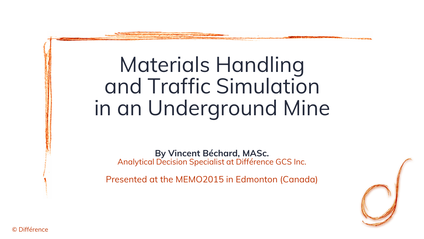### Materials Handlingand Traffic Simulationin an Underground Mine

**By Vincent Béchard, MASc.**Analytical Decision Specialist at Différence GCS Inc.

Presented at the MEMO2015 in Edmonton (Canada)



© Différence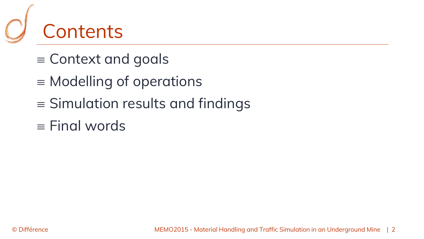

- $\equiv$  Context and goals
- $\equiv$  Modelling of operations
- $\equiv$  Simulation results and findings
- $\equiv$  Final words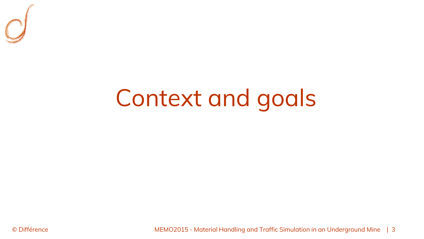

## Context and goals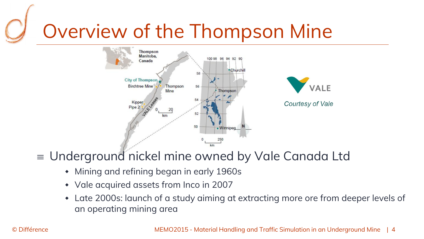# Overview of the Thompson Mine



#### $\equiv$  Underground nickel mine owned by Vale Canada Ltd

- $\blacklozenge$ Mining and refining began in early 1960s
- Vale acquired assets from Inco in 2007
- Late 2000s: launch of a study aiming at extracting more ore from deeper levels of an operating mining area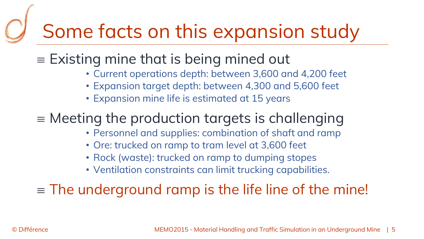## Some facts on this expansion study

#### $\epsilon \equiv$  Existing mine that is being mined out

- Current operations depth: between 3,600 and 4,200 feet
- Expansion target depth: between 4,300 and 5,600 feet
- Expansion mine life is estimated at 15 years

#### $\equiv$  Meeting the production targets is challenging

- Personnel and supplies: combination of shaft and ramp
- Ore: trucked on ramp to tram level at 3,600 feet
- Rock (waste): trucked on ramp to dumping stopes
- Ventilation constraints can limit trucking capabilities.

 $\equiv$  The underground ramp is the life line of the mine!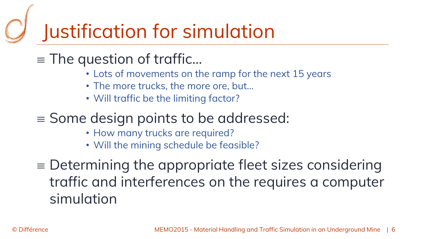### Justification for simulation

- $\equiv$  The question of traffic…
	- Lots of movements on the ramp for the next 15 years
	- The more trucks, the more ore, but…
	- Will traffic be the limiting factor?
- $\equiv$  Some design points to be addressed:
	- How many trucks are required?
	- Will the mining schedule be feasible?
- $\epsilon =$  Determining the appropriate fleet sizes considering traffic and interferences on the requires a computer simulation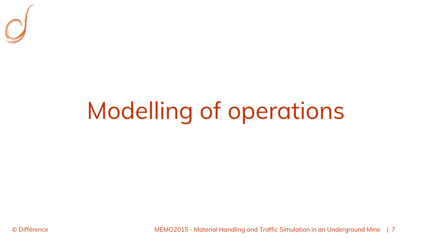

# Modelling of operations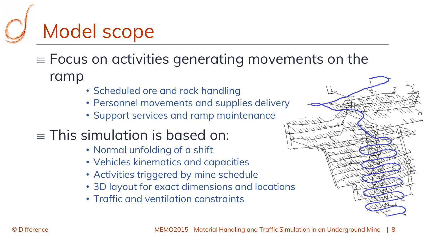# Model scope

- $\equiv$  Focus on activities generating movements on the ramp
	- Scheduled ore and rock handling
	- Personnel movements and supplies delivery
	- Support services and ramp maintenance
- $\equiv$  This simulation is based on:
	- Normal unfolding of a shift
	- Vehicles kinematics and capacities
	- Activities triggered by mine schedule
	- 3D layout for exact dimensions and locations
	- Traffic and ventilation constraints

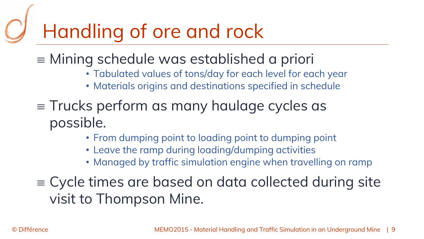### Handling of ore and rock

- Mining schedule was established a priori
	- Tabulated values of tons/day for each level for each year
	- Materials origins and destinations specified in schedule
- $\equiv$  Trucks perform as many haulage cycles as possible.
	- From dumping point to loading point to dumping point
	- Leave the ramp during loading/dumping activities
	- Managed by traffic simulation engine when travelling on ramp
- $\epsilon \equiv$  Cycle times are based on data collected during site visit to Thompson Mine.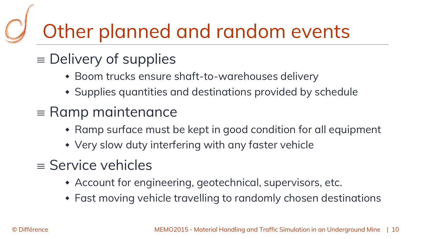# Other planned and random events

### $\equiv$  Delivery of supplies

- Boom trucks ensure shaft-to-warehouses delivery
- Supplies quantities and destinations provided by schedule
- $\equiv$  Ramp maintenance
	- $\bullet\,$  Ramp surface must be kept in good condition for all equipment
	- Very slow duty interfering with any faster vehicle
- $\equiv$  Service vehicles
	- Account for engineering, geotechnical, supervisors, etc.
	- Fast moving vehicle travelling to randomly chosen destinations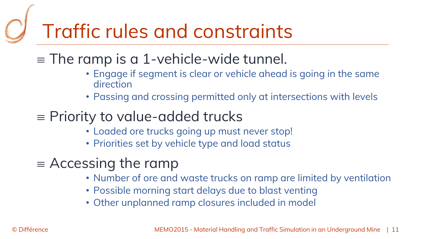## Traffic rules and constraints

#### $\equiv$  The ramp is a 1-vehicle-wide tunnel.

- Engage if segment is clear or vehicle ahead is going in the same direction
- Passing and crossing permitted only at intersections with levels

### $\equiv$  Priority to value-added trucks

- Loaded ore trucks going up must never stop!
- Priorities set by vehicle type and load status
- $\equiv$  Accessing the ramp
	- Number of ore and waste trucks on ramp are limited by ventilation
	- Possible morning start delays due to blast venting
	- Other unplanned ramp closures included in model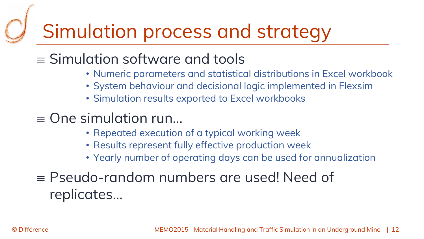### Simulation process and strategy

### $\equiv$  Simulation software and tools

- Numeric parameters and statistical distributions in Excel workbook
- System behaviour and decisional logic implemented in Flexsim
- Simulation results exported to Excel workbooks
- $\equiv$  One simulation run...
	- Repeated execution of a typical working week
	- Results represent fully effective production week
	- Yearly number of operating days can be used for annualization
- $\epsilon \equiv \textsf{Pseudo-random}\text{ numbers}$  are used! Need of replicates…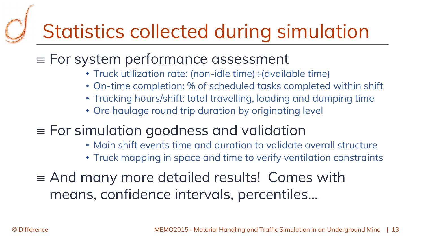## Statistics collected during simulation

#### $\equiv$  For system performance assessment

- Truck utilization rate: (non-idle time)÷(available time)
- On-time completion: % of scheduled tasks completed within shift
- Trucking hours/shift: total travelling, loading and dumping time
- Ore haulage round trip duration by originating level

### $\equiv$  For simulation goodness and validation

- Main shift events time and duration to validate overall structure
- Truck mapping in space and time to verify ventilation constraints
- $\equiv$  And many more detailed results! Comes with means, confidence intervals, percentiles…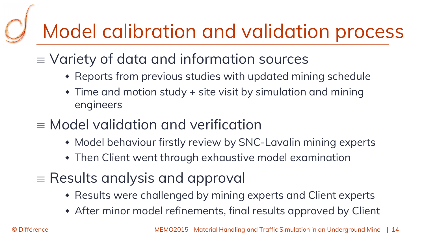### Model calibration and validation process

- $\equiv$   $\vee$ ariety of data and information sources
	- $\bullet\,$  Reports from previous studies with updated mining schedule
	- $\bullet$  Time and motion study + site visit by simulation and mining engineers
- $\equiv$  Model validation and verification
	- Model behaviour firstly review by SNC-Lavalin mining experts
	- Then Client went through exhaustive model examination
- $\equiv$  Results analysis and approval
	- $\bullet\,$  Results were challenged by mining experts and Client experts
	- After minor model refinements, final results approved by Client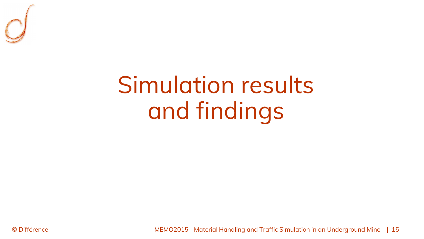

### Simulation resultsand findings

© Différence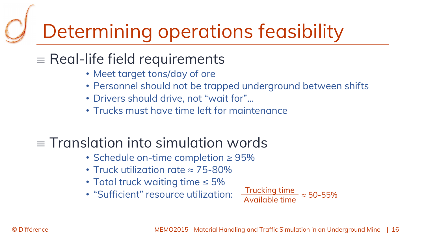## Determining operations feasibility

### $\equiv$  Real-life field requirements

- Meet target tons/day of ore
- Personnel should not be trapped underground between shifts
- Drivers should drive, not "wait for"…
- Trucks must have time left for maintenance

### $\equiv$  Translation into simulation words

- Schedule on-time completion ≥ 95%
- Truck utilization rate ≈ 75-80%
- Total truck waiting time ≤ 5%
- "Sufficient" resource utilization:

Trucking timeAvailable time $\approx$  50-55%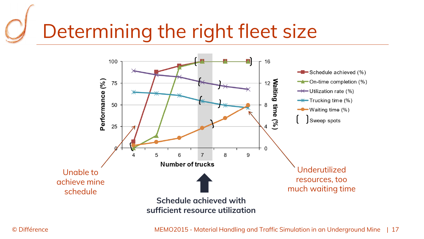# Determining the right fleet size

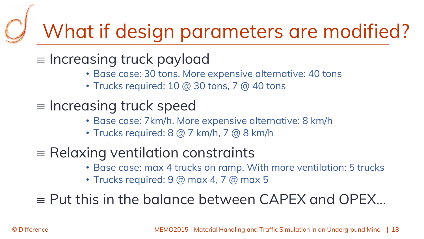### What if design parameters are modified?

- $\equiv$  Increasing truck payload
	- Base case: 30 tons. More expensive alternative: 40 tons
	- $\bullet$  Trucks required: 10 @ 30 tons, 7 @ 40 tons
- $\equiv$  Increasing truck speed
	- Base case: 7km/h. More expensive alternative: 8 km/h
	- Trucks required: 8 @ 7 km/h, 7 @ 8 km/h
- $\equiv$  Relaxing ventilation constraints
	- Base case: max 4 trucks on ramp. With more ventilation: 5 trucks
	- Trucks required: 9 @ max 4, 7 @ max 5

 $\equiv$  Put this in the balance between CAPEX and OPEX...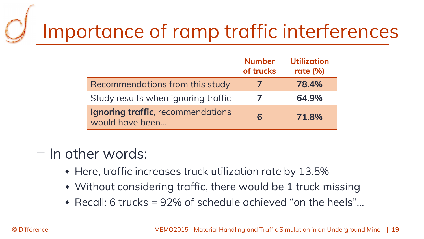# Importance of ramp traffic interferences

|                                                      | <b>Number</b><br>of trucks | <b>Utilization</b><br>rate $(%)$ |
|------------------------------------------------------|----------------------------|----------------------------------|
| Recommendations from this study                      |                            | 78.4%                            |
| Study results when ignoring traffic                  |                            | 64.9%                            |
| Ignoring traffic, recommendations<br>would have been | 6                          | 71.8%                            |

#### $\equiv$  In other words:

- $\bullet$  Here, traffic increases truck utilization rate by 13.5%
- Without considering traffic, there would be 1 truck missing
- Recall: 6 trucks = 92% of schedule achieved "on the heels"…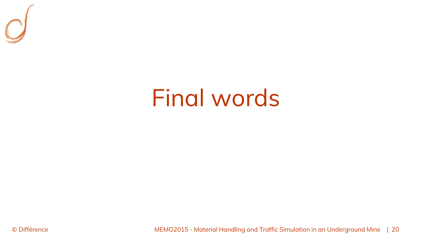

### Final words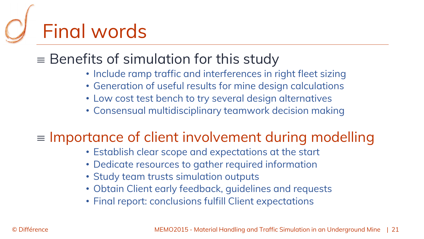# Final words

### $\equiv$  Benefits of simulation for this study

- Include ramp traffic and interferences in right fleet sizing
- Generation of useful results for mine design calculations
- Low cost test bench to try several design alternatives
- Consensual multidisciplinary teamwork decision making

#### $\epsilon \equiv$  Importance of client involvement during modelling

- Establish clear scope and expectations at the start
- Dedicate resources to gather required information
- Study team trusts simulation outputs
- Obtain Client early feedback, guidelines and requests
- Final report: conclusions fulfill Client expectations